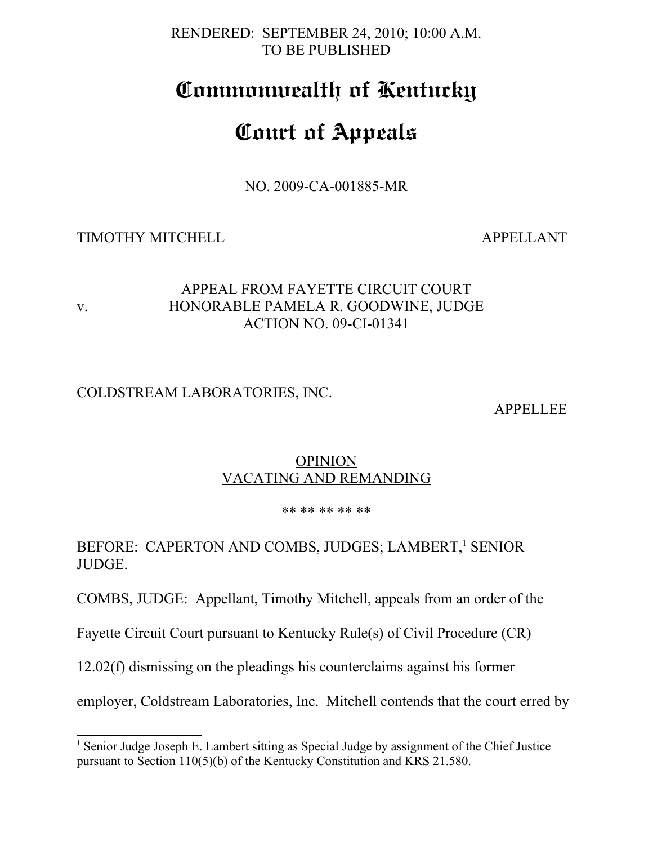#### RENDERED: SEPTEMBER 24, 2010; 10:00 A.M. TO BE PUBLISHED

## **Commonwealth of Kentucky**

# **Court of Appeals**

NO. 2009-CA-001885-MR

## TIMOTHY MITCHELL APPELLANT

#### APPEAL FROM FAYETTE CIRCUIT COURT v. HONORABLE PAMELA R. GOODWINE, JUDGE ACTION NO. 09-CI-01341

## COLDSTREAM LABORATORIES, INC.

APPELLEE

#### **OPINION** VACATING AND REMANDING

#### \*\* \*\* \*\* \*\* \*\*

## BEFORE: CAPERTON AND COMBS, JUDGES; LAMBERT,<sup>[1](#page-0-0)</sup> SENIOR JUDGE.

COMBS, JUDGE: Appellant, Timothy Mitchell, appeals from an order of the

Fayette Circuit Court pursuant to Kentucky Rule(s) of Civil Procedure (CR)

12.02(f) dismissing on the pleadings his counterclaims against his former

employer, Coldstream Laboratories, Inc. Mitchell contends that the court erred by

<span id="page-0-0"></span><sup>&</sup>lt;sup>1</sup> Senior Judge Joseph E. Lambert sitting as Special Judge by assignment of the Chief Justice pursuant to Section 110(5)(b) of the Kentucky Constitution and KRS 21.580.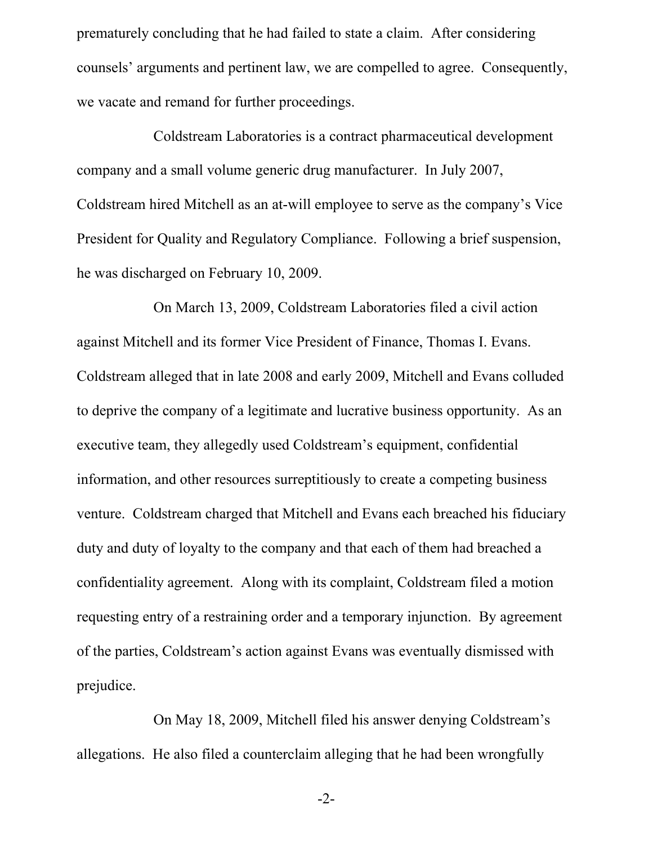prematurely concluding that he had failed to state a claim. After considering counsels' arguments and pertinent law, we are compelled to agree. Consequently, we vacate and remand for further proceedings.

Coldstream Laboratories is a contract pharmaceutical development company and a small volume generic drug manufacturer. In July 2007, Coldstream hired Mitchell as an at-will employee to serve as the company's Vice President for Quality and Regulatory Compliance. Following a brief suspension, he was discharged on February 10, 2009.

On March 13, 2009, Coldstream Laboratories filed a civil action against Mitchell and its former Vice President of Finance, Thomas I. Evans. Coldstream alleged that in late 2008 and early 2009, Mitchell and Evans colluded to deprive the company of a legitimate and lucrative business opportunity. As an executive team, they allegedly used Coldstream's equipment, confidential information, and other resources surreptitiously to create a competing business venture. Coldstream charged that Mitchell and Evans each breached his fiduciary duty and duty of loyalty to the company and that each of them had breached a confidentiality agreement. Along with its complaint, Coldstream filed a motion requesting entry of a restraining order and a temporary injunction. By agreement of the parties, Coldstream's action against Evans was eventually dismissed with prejudice.

On May 18, 2009, Mitchell filed his answer denying Coldstream's allegations. He also filed a counterclaim alleging that he had been wrongfully

-2-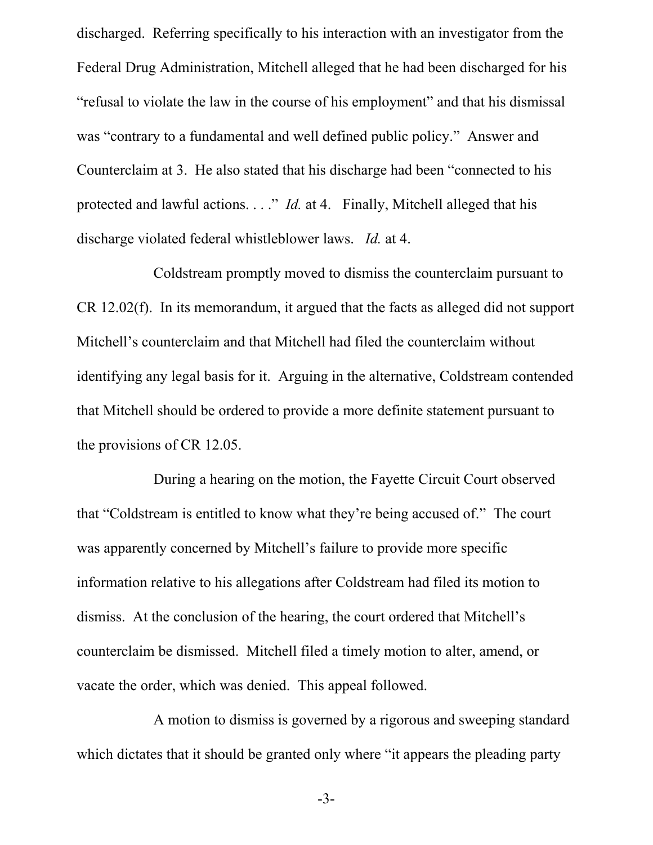discharged. Referring specifically to his interaction with an investigator from the Federal Drug Administration, Mitchell alleged that he had been discharged for his "refusal to violate the law in the course of his employment" and that his dismissal was "contrary to a fundamental and well defined public policy." Answer and Counterclaim at 3. He also stated that his discharge had been "connected to his protected and lawful actions. . . . " *Id.* at 4. Finally, Mitchell alleged that his discharge violated federal whistleblower laws. *Id.* at 4.

Coldstream promptly moved to dismiss the counterclaim pursuant to CR 12.02(f). In its memorandum, it argued that the facts as alleged did not support Mitchell's counterclaim and that Mitchell had filed the counterclaim without identifying any legal basis for it. Arguing in the alternative, Coldstream contended that Mitchell should be ordered to provide a more definite statement pursuant to the provisions of CR 12.05.

During a hearing on the motion, the Fayette Circuit Court observed that "Coldstream is entitled to know what they're being accused of." The court was apparently concerned by Mitchell's failure to provide more specific information relative to his allegations after Coldstream had filed its motion to dismiss. At the conclusion of the hearing, the court ordered that Mitchell's counterclaim be dismissed. Mitchell filed a timely motion to alter, amend, or vacate the order, which was denied. This appeal followed.

A motion to dismiss is governed by a rigorous and sweeping standard which dictates that it should be granted only where "it appears the pleading party

-3-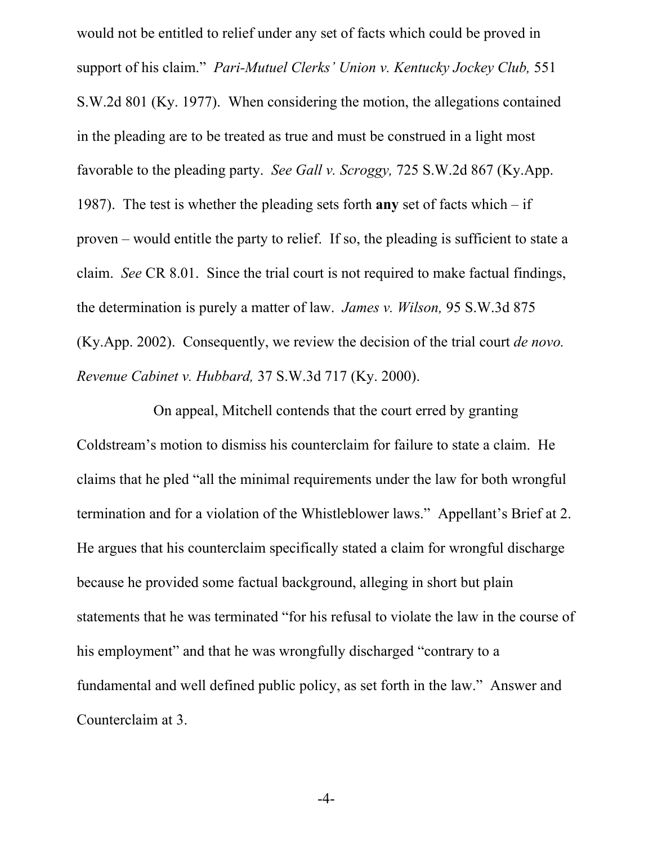would not be entitled to relief under any set of facts which could be proved in support of his claim." *Pari-Mutuel Clerks' Union v. Kentucky Jockey Club,* 551 S.W.2d 801 (Ky. 1977). When considering the motion, the allegations contained in the pleading are to be treated as true and must be construed in a light most favorable to the pleading party. *See Gall v. Scroggy,* 725 S.W.2d 867 (Ky.App. 1987). The test is whether the pleading sets forth **any** set of facts which – if proven – would entitle the party to relief. If so, the pleading is sufficient to state a claim. *See* CR 8.01.Since the trial court is not required to make factual findings, the determination is purely a matter of law. *James v. Wilson,* 95 S.W.3d 875 (Ky.App. 2002). Consequently, we review the decision of the trial court *de novo. Revenue Cabinet v. Hubbard,* 37 S.W.3d 717 (Ky. 2000).

On appeal, Mitchell contends that the court erred by granting Coldstream's motion to dismiss his counterclaim for failure to state a claim. He claims that he pled "all the minimal requirements under the law for both wrongful termination and for a violation of the Whistleblower laws." Appellant's Brief at 2. He argues that his counterclaim specifically stated a claim for wrongful discharge because he provided some factual background, alleging in short but plain statements that he was terminated "for his refusal to violate the law in the course of his employment" and that he was wrongfully discharged "contrary to a fundamental and well defined public policy, as set forth in the law." Answer and Counterclaim at 3.

-4-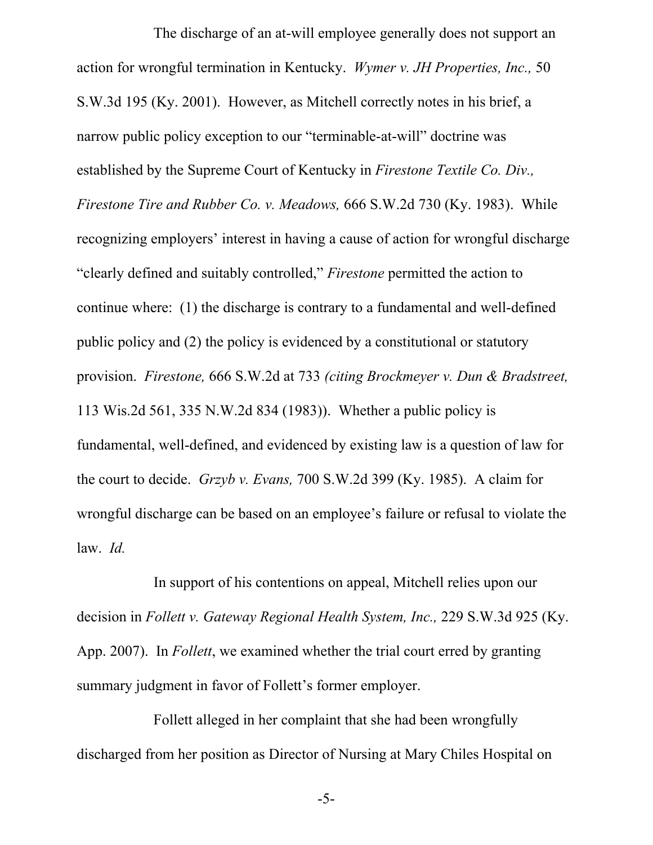The discharge of an at-will employee generally does not support an action for wrongful termination in Kentucky. *Wymer v. JH Properties, Inc.,* 50 S.W.3d 195 (Ky. 2001). However, as Mitchell correctly notes in his brief, a narrow public policy exception to our "terminable-at-will" doctrine was established by the Supreme Court of Kentucky in *Firestone Textile Co. Div., Firestone Tire and Rubber Co. v. Meadows,* 666 S.W.2d 730 (Ky. 1983). While recognizing employers' interest in having a cause of action for wrongful discharge "clearly defined and suitably controlled," *Firestone* permitted the action to continue where: (1) the discharge is contrary to a fundamental and well-defined public policy and (2) the policy is evidenced by a constitutional or statutory provision. *Firestone,* 666 S.W.2d at 733 *(citing Brockmeyer v. Dun & Bradstreet,* 113 Wis.2d 561, 335 N.W.2d 834 (1983)). Whether a public policy is fundamental, well-defined, and evidenced by existing law is a question of law for the court to decide. *Grzyb v. Evans,* 700 S.W.2d 399 (Ky. 1985). A claim for wrongful discharge can be based on an employee's failure or refusal to violate the law. *Id.* 

In support of his contentions on appeal, Mitchell relies upon our decision in *Follett v. Gateway Regional Health System, Inc.,* 229 S.W.3d 925 (Ky. App. 2007).In *Follett*, we examined whether the trial court erred by granting summary judgment in favor of Follett's former employer.

Follett alleged in her complaint that she had been wrongfully discharged from her position as Director of Nursing at Mary Chiles Hospital on

-5-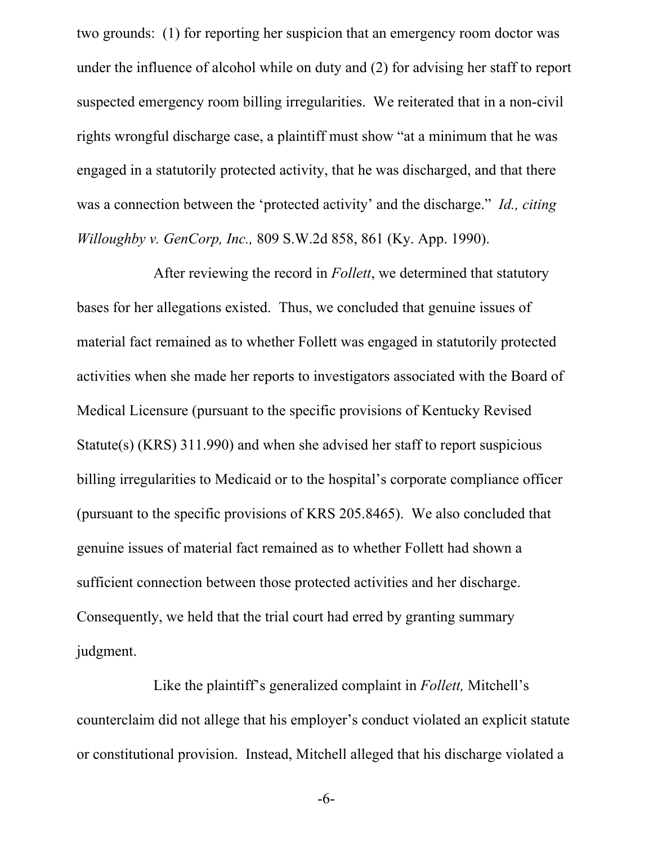two grounds: (1) for reporting her suspicion that an emergency room doctor was under the influence of alcohol while on duty and (2) for advising her staff to report suspected emergency room billing irregularities. We reiterated that in a non-civil rights wrongful discharge case, a plaintiff must show "at a minimum that he was engaged in a statutorily protected activity, that he was discharged, and that there was a connection between the 'protected activity' and the discharge." *Id., citing Willoughby v. GenCorp, Inc.,* 809 S.W.2d 858, 861 (Ky. App. 1990).

After reviewing the record in *Follett*, we determined that statutory bases for her allegations existed. Thus, we concluded that genuine issues of material fact remained as to whether Follett was engaged in statutorily protected activities when she made her reports to investigators associated with the Board of Medical Licensure (pursuant to the specific provisions of Kentucky Revised Statute(s) (KRS) 311.990) and when she advised her staff to report suspicious billing irregularities to Medicaid or to the hospital's corporate compliance officer (pursuant to the specific provisions of KRS 205.8465). We also concluded that genuine issues of material fact remained as to whether Follett had shown a sufficient connection between those protected activities and her discharge. Consequently, we held that the trial court had erred by granting summary judgment.

Like the plaintiff's generalized complaint in *Follett,* Mitchell's counterclaim did not allege that his employer's conduct violated an explicit statute or constitutional provision. Instead, Mitchell alleged that his discharge violated a

-6-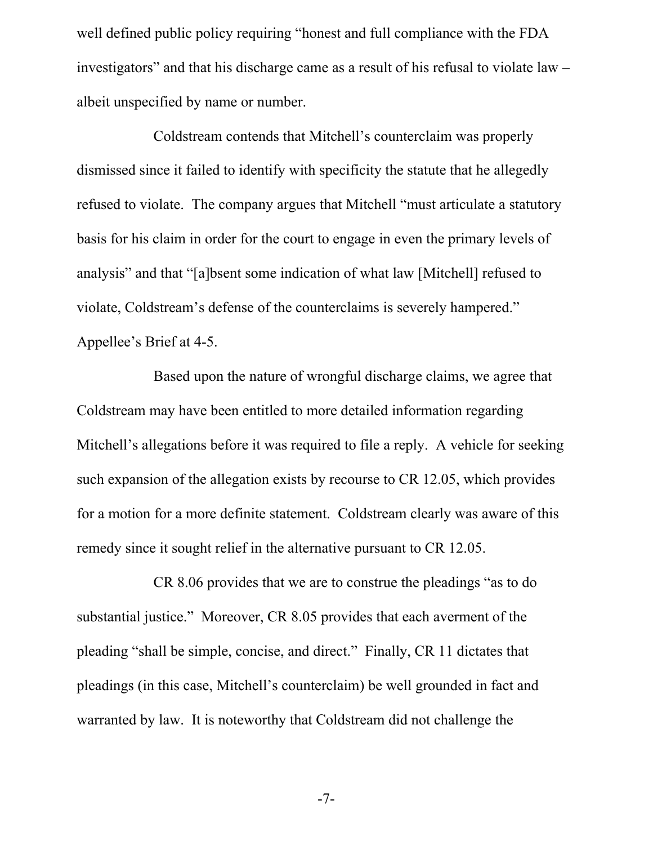well defined public policy requiring "honest and full compliance with the FDA investigators" and that his discharge came as a result of his refusal to violate law – albeit unspecified by name or number.

Coldstream contends that Mitchell's counterclaim was properly dismissed since it failed to identify with specificity the statute that he allegedly refused to violate. The company argues that Mitchell "must articulate a statutory basis for his claim in order for the court to engage in even the primary levels of analysis" and that "[a]bsent some indication of what law [Mitchell] refused to violate, Coldstream's defense of the counterclaims is severely hampered." Appellee's Brief at 4-5.

Based upon the nature of wrongful discharge claims, we agree that Coldstream may have been entitled to more detailed information regarding Mitchell's allegations before it was required to file a reply. A vehicle for seeking such expansion of the allegation exists by recourse to CR 12.05, which provides for a motion for a more definite statement. Coldstream clearly was aware of this remedy since it sought relief in the alternative pursuant to CR 12.05.

CR 8.06 provides that we are to construe the pleadings "as to do substantial justice." Moreover, CR 8.05 provides that each averment of the pleading "shall be simple, concise, and direct." Finally, CR 11 dictates that pleadings (in this case, Mitchell's counterclaim) be well grounded in fact and warranted by law. It is noteworthy that Coldstream did not challenge the

-7-